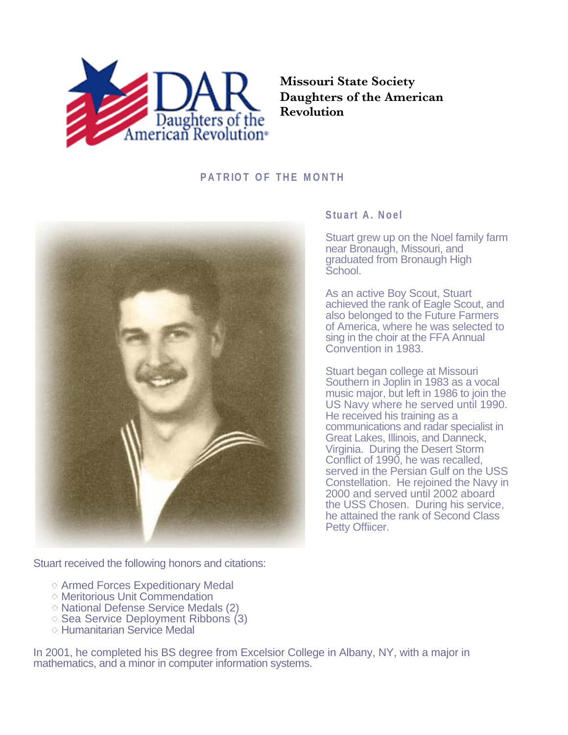

**Missouri State Society Daughters of the American Revolution**

## **PATRIOT OF THE MONTH**



Stuart received the following honors and citations:

- $\diamond$  Armed Forces Expeditionary Medal
- Meritorious Unit Commendation
- $\diamond$  National Defense Service Medals (2)
- $\diamond$  Sea Service Deployment Ribbons (3)
- $\diamond$  Humanitarian Service Medal

In 2001, he completed his BS degree from Excelsior College in Albany, NY, with a major in mathematics, and a minor in computer information systems.

## **Stuart A. Noel**

Stuart grew up on the Noel family farm near Bronaugh, Missouri, and graduated from Bronaugh High School.

As an active Boy Scout, Stuart achieved the rank of Eagle Scout, and also belonged to the Future Farmers of America, where he was selected to sing in the choir at the FFA Annual Convention in 1983.

Stuart began college at Missouri Southern in Joplin in 1983 as a vocal music major, but left in 1986 to join the US Navy where he served until 1990. He received his training as a communications and radar specialist in Great Lakes, Illinois, and Danneck, Virginia. During the Desert Storm Conflict of 1990, he was recalled, served in the Persian Gulf on the USS Constellation. He rejoined the Navy in 2000 and served until 2002 aboard the USS Chosen. During his service, he attained the rank of Second Class Petty Offiicer.